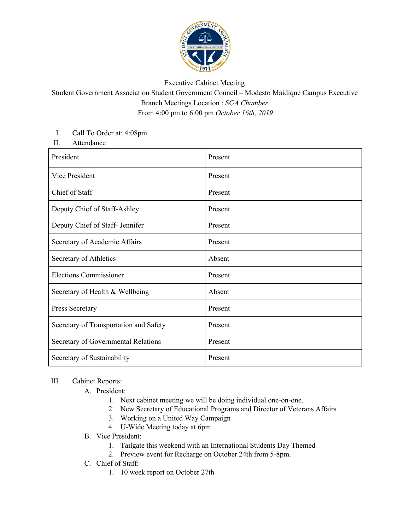

## Executive Cabinet Meeting

## Student Government Association Student Government Council – Modesto Maidique Campus Executive Branch Meetings Location : *SGA Chamber* From 4:00 pm to 6:00 pm *October 16th, 2019*

## I. Call To Order at: 4:08pm

II. Attendance

| President                              | Present |
|----------------------------------------|---------|
| Vice President                         | Present |
| Chief of Staff                         | Present |
| Deputy Chief of Staff-Ashley           | Present |
| Deputy Chief of Staff- Jennifer        | Present |
| Secretary of Academic Affairs          | Present |
| Secretary of Athletics                 | Absent  |
| <b>Elections Commissioner</b>          | Present |
| Secretary of Health & Wellbeing        | Absent  |
| Press Secretary                        | Present |
| Secretary of Transportation and Safety | Present |
| Secretary of Governmental Relations    | Present |
| Secretary of Sustainability            | Present |

## III. Cabinet Reports:

- A. President:
	- 1. Next cabinet meeting we will be doing individual one-on-one.
	- 2. New Secretary of Educational Programs and Director of Veterans Affairs
	- 3. Working on a United Way Campaign
	- 4. U-Wide Meeting today at 6pm
- B. Vice President:
	- 1. Tailgate this weekend with an International Students Day Themed
	- 2. Preview event for Recharge on October 24th from 5-8pm.
- C. Chief of Staff:
	- 1. 10 week report on October 27th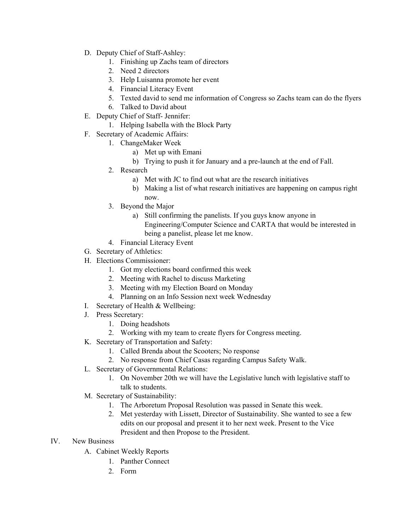- D. Deputy Chief of Staff-Ashley:
	- 1. Finishing up Zachs team of directors
	- 2. Need 2 directors
	- 3. Help Luisanna promote her event
	- 4. Financial Literacy Event
	- 5. Texted david to send me information of Congress so Zachs team can do the flyers
	- 6. Talked to David about
- E. Deputy Chief of Staff- Jennifer:
	- 1. Helping Isabella with the Block Party
- F. Secretary of Academic Affairs:
	- 1. ChangeMaker Week
		- a) Met up with Emani
		- b) Trying to push it for January and a pre-launch at the end of Fall.
	- 2. Research
		- a) Met with JC to find out what are the research initiatives
		- b) Making a list of what research initiatives are happening on campus right now.
	- 3. Beyond the Major
		- a) Still confirming the panelists. If you guys know anyone in Engineering/Computer Science and CARTA that would be interested in being a panelist, please let me know.
	- 4. Financial Literacy Event
- G. Secretary of Athletics:
- H. Elections Commissioner:
	- 1. Got my elections board confirmed this week
	- 2. Meeting with Rachel to discuss Marketing
	- 3. Meeting with my Election Board on Monday
	- 4. Planning on an Info Session next week Wednesday
- I. Secretary of Health & Wellbeing:
- J. Press Secretary:
	- 1. Doing headshots
	- 2. Working with my team to create flyers for Congress meeting.
- K. Secretary of Transportation and Safety:
	- 1. Called Brenda about the Scooters; No response
	- 2. No response from Chief Casas regarding Campus Safety Walk.
- L. Secretary of Governmental Relations:
	- 1. On November 20th we will have the Legislative lunch with legislative staff to talk to students.
- M. Secretary of Sustainability:
	- 1. The Arboretum Proposal Resolution was passed in Senate this week.
	- 2. Met yesterday with Lissett, Director of Sustainability. She wanted to see a few edits on our proposal and present it to her next week. Present to the Vice President and then Propose to the President.
- IV. New Business
	- A. Cabinet Weekly Reports
		- 1. Panther Connect
		- 2. Form